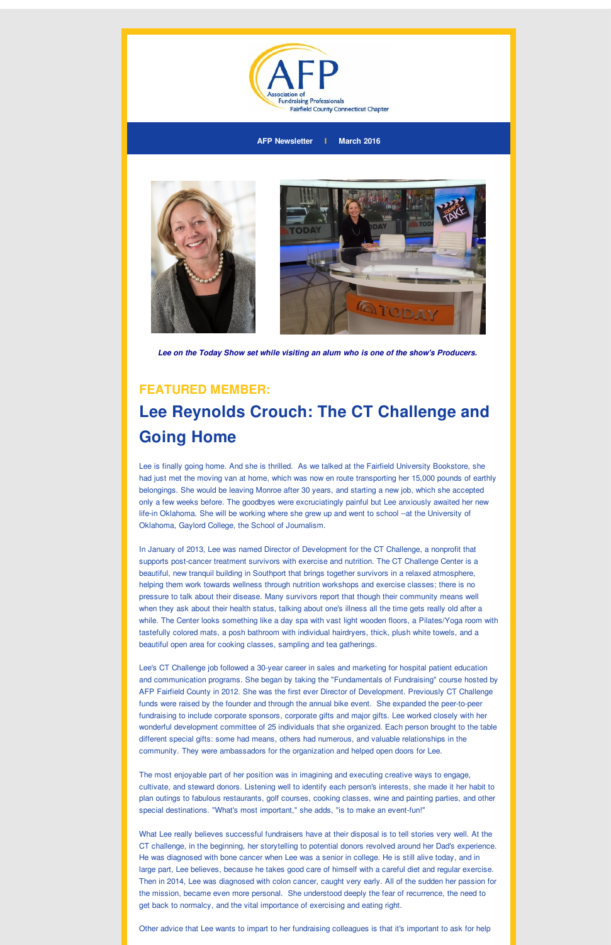

**AFP Newsletter I March 2016**



*Lee on the Today Show set while visiting an alum who is one of the show's Producers.*

### **FEATURED MEMBER:**

# **Lee Reynolds Crouch: The CT Challenge and Going Home**

Lee is finally going home. And she is thrilled. As we talked at the Fairfield University Bookstore, she had just met the moving van at home, which was now en route transporting her 15,000 pounds of earthly belongings. She would be leaving Monroe after 30 years, and starting a new job, which she accepted only a few weeks before. The goodbyes were excruciatingly painful but Lee anxiously awaited her new life-in Oklahoma. She will be working where she grew up and went to school --at the University of Oklahoma, Gaylord College, the School of Journalism.

In January of 2013, Lee was named Director of Development for the CT Challenge, a nonprofit that supports post-cancer treatment survivors with exercise and nutrition. The CT Challenge Center is a beautiful, new tranquil building in Southport that brings together survivors in a relaxed atmosphere, helping them work towards wellness through nutrition workshops and exercise classes; there is no pressure to talk about their disease. Many survivors report that though their community means well when they ask about their health status, talking about one's illness all the time gets really old after a while. The Center looks something like a day spa with vast light wooden floors, a Pilates/Yoga room with tastefully colored mats, a posh bathroom with individual hairdryers, thick, plush white towels, and a beautiful open area for cooking classes, sampling and tea gatherings.

Lee's CT Challenge job followed a 30-year career in sales and marketing for hospital patient education and communication programs. She began by taking the "Fundamentals of Fundraising" course hosted by AFP Fairfield County in 2012. She was the first ever Director of Development. Previously CT Challenge funds were raised by the founder and through the annual bike event. She expanded the peer-to-peer fundraising to include corporate sponsors, corporate gifts and major gifts. Lee worked closely with her wonderful development committee of 25 individuals that she organized. Each person brought to the table different special gifts: some had means, others had numerous, and valuable relationships in the community. They were ambassadors for the organization and helped open doors for Lee.

The most enjoyable part of her position was in imagining and executing creative ways to engage, cultivate, and steward donors. Listening well to identify each person's interests, she made it her habit to plan outings to fabulous restaurants, golf courses, cooking classes, wine and painting parties, and other special destinations. "What's most important," she adds, "is to make an event-fun!"

What Lee really believes successful fundraisers have at their disposal is to tell stories very well. At the CT challenge, in the beginning, her storytelling to potential donors revolved around her Dad's experience. He was diagnosed with bone cancer when Lee was a senior in college. He is still alive today, and in large part, Lee believes, because he takes good care of himself with a careful diet and regular exercise. Then in 2014, Lee was diagnosed with colon cancer, caught very early. All of the sudden her passion for the mission, became even more personal. She understood deeply the fear of recurrence, the need to get back to normalcy, and the vital importance of exercising and eating right.

Other advice that Lee wants to impart to her fundraising colleagues is that it's important to ask for help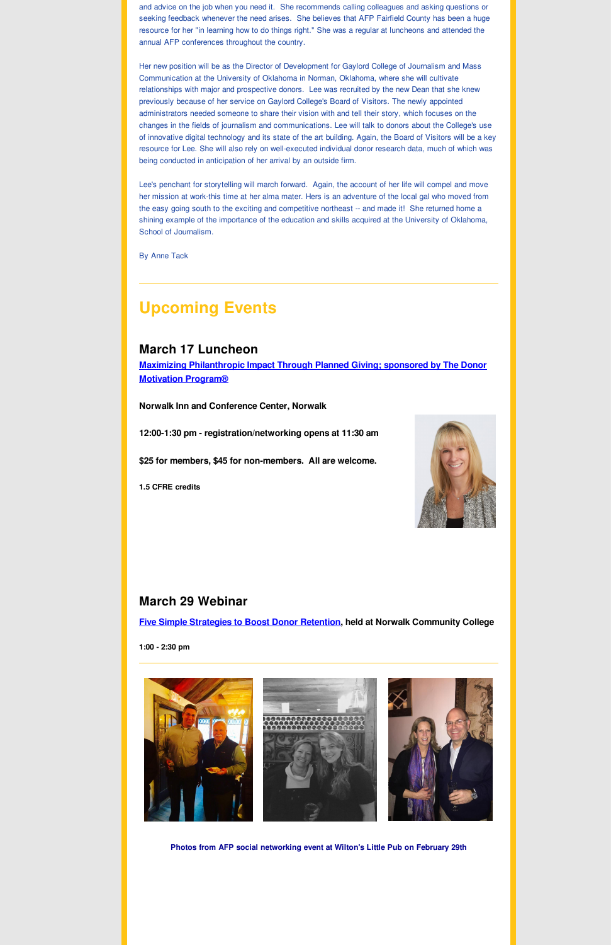and advice on the job when you need it. She recommends calling colleagues and asking questions or seeking feedback whenever the need arises. She believes that AFP Fairfield County has been a huge resource for her "in learning how to do things right." She was a regular at luncheons and attended the annual AFP conferences throughout the country.

Her new position will be as the Director of Development for Gaylord College of Journalism and Mass Communication at the University of Oklahoma in Norman, Oklahoma, where she will cultivate relationships with major and prospective donors. Lee was recruited by the new Dean that she knew previously because of her service on Gaylord College's Board of Visitors. The newly appointed administrators needed someone to share their vision with and tell their story, which focuses on the changes in the fields of journalism and communications. Lee will talk to donors about the College's use of innovative digital technology and its state of the art building. Again, the Board of Visitors will be a key resource for Lee. She will also rely on well-executed individual donor research data, much of which was being conducted in anticipation of her arrival by an outside firm.

Lee's penchant for storytelling will march forward. Again, the account of her life will compel and move her mission at work-this time at her alma mater. Hers is an adventure of the local gal who moved from the easy going south to the exciting and competitive northeast -- and made it! She returned home a shining example of the importance of the education and skills acquired at the University of Oklahoma, School of Journalism.

By Anne Tack

## **Upcoming Events**

### **March 17 Luncheon**

**Maximizing [Philanthropic](http://r20.rs6.net/tn.jsp?f=0016qmd3MBMizw39vfVHDqWChHIDs05tBG_6alwg-6mBcw4sIXXkVKo4sOfIyDV-U54EpG_FDEPDOCxfjwYLr7163nftyIaN8eLLgkXFW7_VAmitgND_t18r4-qmhfw7wdmFnaCz01-q3aU4xSqjsBCW8tWfJWedH1uXvjwzOWVc_UDIJ5IHYytsIzGQdDAN7iQVB1H7ZpXYxFT6tn7IxexD7l7cDajXUuUt-xK0ik2ysNbvMWV7Hdf8iMD2wPEfGAf11ZcL3UgKNKs6M_h7hoh5p9jv7aTKul10zTOPAXi6trXeg2yeyfUs4gKsUdtQpHKV5JgPR5h9v0=&c=&ch=) Impact Through Planned Giving; sponsored by The Donor Motivation Program®**

**Norwalk Inn and Conference Center, Norwalk**

**12:00-1:30 pm - registration/networking opens at 11:30 am**

**\$25 for members, \$45 for non-members. All are welcome.**

**1.5 CFRE credits**



### **March 29 Webinar**

**Five Simple [Strategies](http://r20.rs6.net/tn.jsp?f=0016qmd3MBMizw39vfVHDqWChHIDs05tBG_6alwg-6mBcw4sIXXkVKo4sOfIyDV-U54SY_WuNLyJ0AIPgsGCSfJbiBX4IK_V-zdJwxJ1Uesplwqj0XWLPDyvE6ElsCmboN5wGGgKspIuZcP5nySY9-XCbLmzSmpUV8wGam2jQBAhEWJY7BcPglpPRZwHp5BnZ8gmTLNyj5y8E9mmfs4ktu8AhluSTSvn9ai7ST99l0Hg628o_ANOyFB4Km1Ths_6Ogv7IGYw4PCdQPfi49ORcgUtB1zUc9s0heKIqgaWo1e8NfVQN5teabfUw==&c=&ch=) to Boost Donor Retention, held at Norwalk Community College**

**1:00 - 2:30 pm**





#### **Photos from AFP social networking event at Wilton's Little Pub on February 29th**